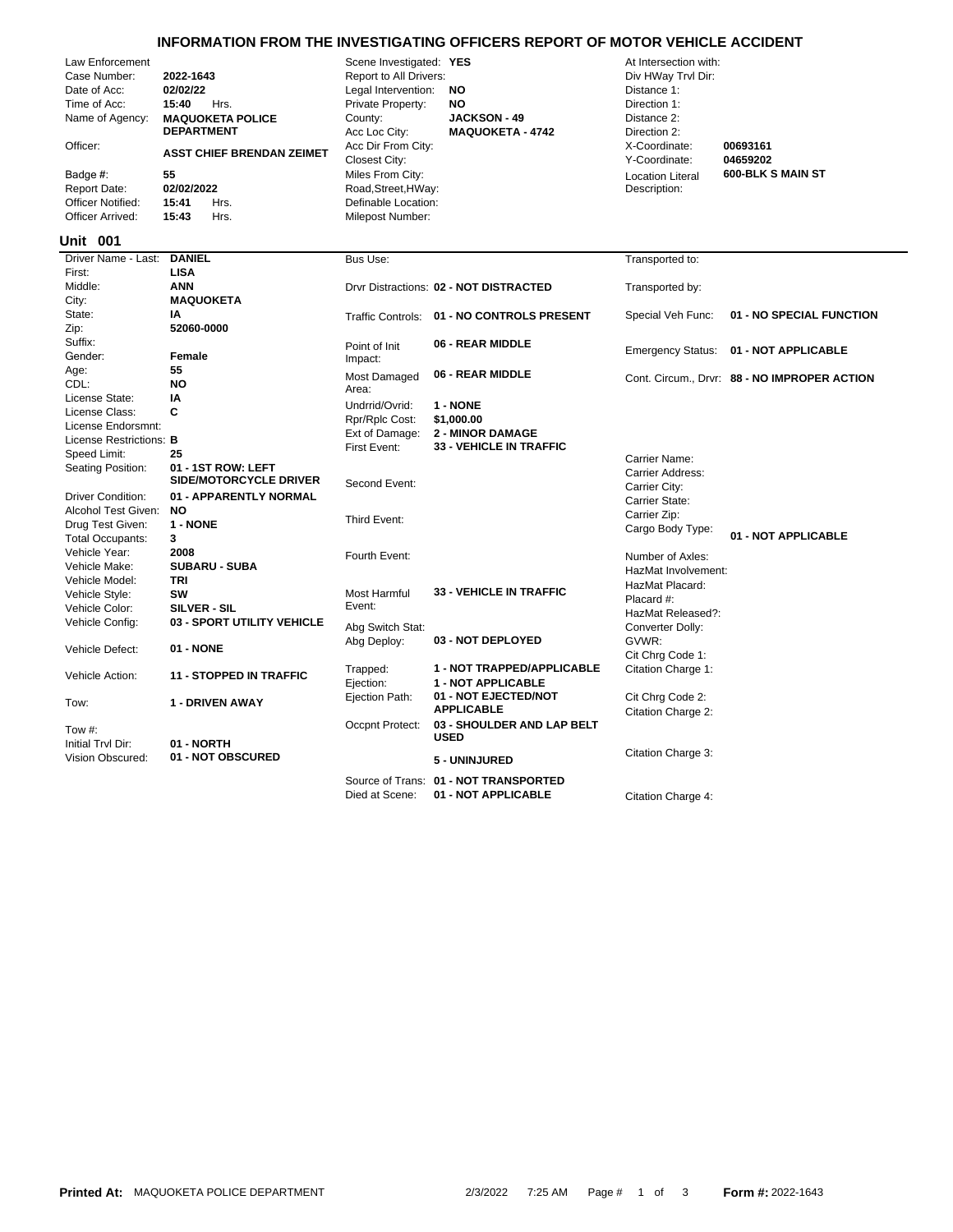## **INFORMATION FROM THE INVESTIGATING OFFICERS REPORT OF MOTOR VEHICLE ACCIDENT**

| Law Enforcement<br>Case Number:<br>Date of Acc:<br>Time of Acc:<br>Name of Agency:<br>Officer:<br>Badge #:<br><b>Report Date:</b><br><b>Officer Notified:</b><br>Officer Arrived: | 2022-1643<br>02/02/22<br>15:40<br>Hrs.<br><b>MAQUOKETA POLICE</b><br><b>DEPARTMENT</b><br><b>ASST CHIEF BRENDAN ZEIMET</b><br>55<br>02/02/2022<br>15:41<br>Hrs.<br>15:43<br>Hrs. | Scene Investigated: YES<br>Report to All Drivers:<br>Legal Intervention:<br>Private Property:<br>County:<br>Acc Loc City:<br>Acc Dir From City:<br>Closest City:<br>Miles From City:<br>Road, Street, HWay:<br>Definable Location:<br>Milepost Number: | <b>NO</b><br>NO<br><b>JACKSON - 49</b><br><b>MAQUOKETA - 4742</b> | At Intersection with:<br>Div HWay Trvl Dir:<br>Distance 1:<br>Direction 1:<br>Distance 2:<br>Direction 2:<br>X-Coordinate:<br>Y-Coordinate:<br><b>Location Literal</b><br>Description: | 00693161<br>04659202<br><b>600-BLK S MAIN ST</b> |
|-----------------------------------------------------------------------------------------------------------------------------------------------------------------------------------|----------------------------------------------------------------------------------------------------------------------------------------------------------------------------------|--------------------------------------------------------------------------------------------------------------------------------------------------------------------------------------------------------------------------------------------------------|-------------------------------------------------------------------|----------------------------------------------------------------------------------------------------------------------------------------------------------------------------------------|--------------------------------------------------|
| Unit 001                                                                                                                                                                          |                                                                                                                                                                                  |                                                                                                                                                                                                                                                        |                                                                   |                                                                                                                                                                                        |                                                  |
| Driver Name - Last:                                                                                                                                                               | <b>DANIEL</b>                                                                                                                                                                    | Bus Use:                                                                                                                                                                                                                                               |                                                                   | Transported to:                                                                                                                                                                        |                                                  |
| First:<br>Middle:                                                                                                                                                                 | <b>LISA</b><br><b>ANN</b>                                                                                                                                                        |                                                                                                                                                                                                                                                        | Drvr Distractions: 02 - NOT DISTRACTED                            |                                                                                                                                                                                        |                                                  |
| City:                                                                                                                                                                             | <b>MAQUOKETA</b>                                                                                                                                                                 |                                                                                                                                                                                                                                                        |                                                                   | Transported by:                                                                                                                                                                        |                                                  |
| State:                                                                                                                                                                            | IA                                                                                                                                                                               | <b>Traffic Controls:</b>                                                                                                                                                                                                                               | 01 - NO CONTROLS PRESENT                                          | Special Veh Func:                                                                                                                                                                      | 01 - NO SPECIAL FUNCTION                         |
| Zip:                                                                                                                                                                              | 52060-0000                                                                                                                                                                       |                                                                                                                                                                                                                                                        |                                                                   |                                                                                                                                                                                        |                                                  |
| Suffix:                                                                                                                                                                           |                                                                                                                                                                                  | Point of Init                                                                                                                                                                                                                                          | 06 - REAR MIDDLE                                                  |                                                                                                                                                                                        | 01 - NOT APPLICABLE                              |
| Gender:                                                                                                                                                                           | Female                                                                                                                                                                           | Impact:                                                                                                                                                                                                                                                |                                                                   | <b>Emergency Status:</b>                                                                                                                                                               |                                                  |
| Age:                                                                                                                                                                              | 55                                                                                                                                                                               | Most Damaged                                                                                                                                                                                                                                           | 06 - REAR MIDDLE                                                  |                                                                                                                                                                                        | Cont. Circum., Drvr: 88 - NO IMPROPER ACTION     |
| CDL:                                                                                                                                                                              | NO                                                                                                                                                                               | Area:                                                                                                                                                                                                                                                  |                                                                   |                                                                                                                                                                                        |                                                  |
| License State:                                                                                                                                                                    | IA                                                                                                                                                                               | Undrrid/Ovrid:                                                                                                                                                                                                                                         | 1 - NONE                                                          |                                                                                                                                                                                        |                                                  |
| License Class:                                                                                                                                                                    | C                                                                                                                                                                                | Rpr/Rplc Cost:                                                                                                                                                                                                                                         | \$1,000.00                                                        |                                                                                                                                                                                        |                                                  |
| License Endorsmnt:                                                                                                                                                                |                                                                                                                                                                                  | Ext of Damage:                                                                                                                                                                                                                                         | <b>2 - MINOR DAMAGE</b>                                           |                                                                                                                                                                                        |                                                  |
| License Restrictions: B<br>Speed Limit:                                                                                                                                           | 25                                                                                                                                                                               | First Event:                                                                                                                                                                                                                                           | <b>33 - VEHICLE IN TRAFFIC</b>                                    |                                                                                                                                                                                        |                                                  |
| Seating Position:                                                                                                                                                                 | 01 - 1ST ROW: LEFT                                                                                                                                                               |                                                                                                                                                                                                                                                        |                                                                   | Carrier Name:                                                                                                                                                                          |                                                  |
|                                                                                                                                                                                   | <b>SIDE/MOTORCYCLE DRIVER</b>                                                                                                                                                    | Second Event:                                                                                                                                                                                                                                          |                                                                   | Carrier Address:                                                                                                                                                                       |                                                  |
| <b>Driver Condition:</b>                                                                                                                                                          | 01 - APPARENTLY NORMAL                                                                                                                                                           |                                                                                                                                                                                                                                                        |                                                                   | Carrier City:                                                                                                                                                                          |                                                  |
| Alcohol Test Given:                                                                                                                                                               | <b>NO</b>                                                                                                                                                                        |                                                                                                                                                                                                                                                        |                                                                   | Carrier State:<br>Carrier Zip:                                                                                                                                                         |                                                  |
| Drug Test Given:                                                                                                                                                                  | 1 - NONE                                                                                                                                                                         | Third Event:                                                                                                                                                                                                                                           |                                                                   | Cargo Body Type:                                                                                                                                                                       |                                                  |
| <b>Total Occupants:</b>                                                                                                                                                           | 3                                                                                                                                                                                |                                                                                                                                                                                                                                                        |                                                                   |                                                                                                                                                                                        | 01 - NOT APPLICABLE                              |
| Vehicle Year:                                                                                                                                                                     | 2008                                                                                                                                                                             | Fourth Event:                                                                                                                                                                                                                                          |                                                                   | Number of Axles:                                                                                                                                                                       |                                                  |
| Vehicle Make:                                                                                                                                                                     | <b>SUBARU - SUBA</b>                                                                                                                                                             |                                                                                                                                                                                                                                                        |                                                                   | HazMat Involvement:                                                                                                                                                                    |                                                  |
| Vehicle Model:                                                                                                                                                                    | TRI                                                                                                                                                                              |                                                                                                                                                                                                                                                        |                                                                   | HazMat Placard:                                                                                                                                                                        |                                                  |
| Vehicle Style:                                                                                                                                                                    | SW                                                                                                                                                                               | Most Harmful                                                                                                                                                                                                                                           | <b>33 - VEHICLE IN TRAFFIC</b>                                    | Placard #:                                                                                                                                                                             |                                                  |
| Vehicle Color:                                                                                                                                                                    | <b>SILVER - SIL</b>                                                                                                                                                              | Event:                                                                                                                                                                                                                                                 |                                                                   | HazMat Released?:                                                                                                                                                                      |                                                  |
| Vehicle Config:                                                                                                                                                                   | 03 - SPORT UTILITY VEHICLE                                                                                                                                                       | Abg Switch Stat:                                                                                                                                                                                                                                       |                                                                   | Converter Dolly:                                                                                                                                                                       |                                                  |
| Vehicle Defect:                                                                                                                                                                   | 01 - NONE                                                                                                                                                                        | Abg Deploy:                                                                                                                                                                                                                                            | 03 - NOT DEPLOYED                                                 | GVWR:                                                                                                                                                                                  |                                                  |
|                                                                                                                                                                                   |                                                                                                                                                                                  |                                                                                                                                                                                                                                                        |                                                                   | Cit Chrg Code 1:                                                                                                                                                                       |                                                  |
| Vehicle Action:                                                                                                                                                                   | <b>11 - STOPPED IN TRAFFIC</b>                                                                                                                                                   | Trapped:<br>Ejection:                                                                                                                                                                                                                                  | 1 - NOT TRAPPED/APPLICABLE<br>1 - NOT APPLICABLE                  | Citation Charge 1:                                                                                                                                                                     |                                                  |
| Tow:                                                                                                                                                                              | <b>1 - DRIVEN AWAY</b>                                                                                                                                                           | Ejection Path:                                                                                                                                                                                                                                         | 01 - NOT EJECTED/NOT<br><b>APPLICABLE</b>                         | Cit Chrg Code 2:                                                                                                                                                                       |                                                  |
| Tow #:<br>Initial Trvl Dir:                                                                                                                                                       | 01 - NORTH                                                                                                                                                                       | Occpnt Protect:                                                                                                                                                                                                                                        | 03 - SHOULDER AND LAP BELT<br><b>USED</b>                         | Citation Charge 2:                                                                                                                                                                     |                                                  |
| Vision Obscured:                                                                                                                                                                  | 01 - NOT OBSCURED                                                                                                                                                                |                                                                                                                                                                                                                                                        | 5 - UNINJURED                                                     | Citation Charge 3:                                                                                                                                                                     |                                                  |
|                                                                                                                                                                                   |                                                                                                                                                                                  |                                                                                                                                                                                                                                                        | Source of Trans: 01 - NOT TRANSPORTED                             |                                                                                                                                                                                        |                                                  |

Died at Scene: **01 - NOT APPLICABLE** Citation Charge 4: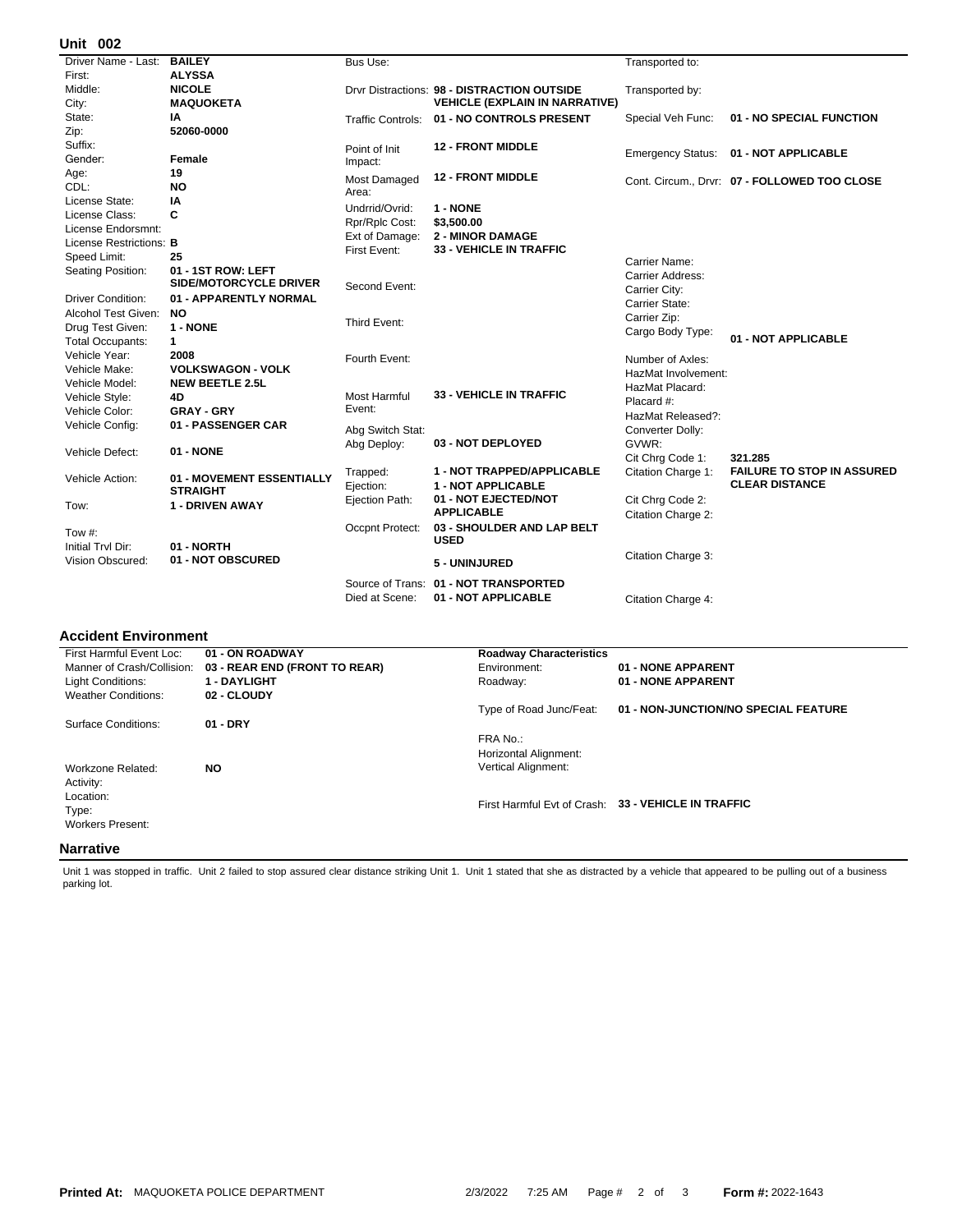## **002 Unit**

| Driver Name - Last: BAILEY |                           | Bus Use:          |                                             | Transported to:          |                                              |
|----------------------------|---------------------------|-------------------|---------------------------------------------|--------------------------|----------------------------------------------|
| First:                     | <b>ALYSSA</b>             |                   |                                             |                          |                                              |
| Middle:                    | <b>NICOLE</b>             |                   | Drvr Distractions: 98 - DISTRACTION OUTSIDE | Transported by:          |                                              |
| City:                      | <b>MAQUOKETA</b>          |                   | <b>VEHICLE (EXPLAIN IN NARRATIVE)</b>       |                          |                                              |
| State:                     | ΙA                        | Traffic Controls: | 01 - NO CONTROLS PRESENT                    | Special Veh Func:        | 01 - NO SPECIAL FUNCTION                     |
| Zip:                       | 52060-0000                |                   |                                             |                          |                                              |
| Suffix:                    |                           | Point of Init     | <b>12 - FRONT MIDDLE</b>                    |                          | 01 - NOT APPLICABLE                          |
| Gender:                    | Female                    | Impact:           |                                             | <b>Emergency Status:</b> |                                              |
| Age:                       | 19                        | Most Damaged      | <b>12 - FRONT MIDDLE</b>                    |                          | Cont. Circum., Drvr: 07 - FOLLOWED TOO CLOSE |
| CDL:                       | <b>NO</b>                 | Area:             |                                             |                          |                                              |
| License State:             | ΙA                        | Undrrid/Ovrid:    | 1 - NONE                                    |                          |                                              |
| License Class:             | C                         | Rpr/Rplc Cost:    | \$3,500.00                                  |                          |                                              |
| License Endorsmnt:         |                           | Ext of Damage:    | <b>2 - MINOR DAMAGE</b>                     |                          |                                              |
| License Restrictions: B    |                           | First Event:      | 33 - VEHICLE IN TRAFFIC                     |                          |                                              |
| Speed Limit:               | 25                        |                   |                                             | Carrier Name:            |                                              |
| Seating Position:          | 01 - 1ST ROW: LEFT        |                   |                                             | Carrier Address:         |                                              |
|                            | SIDE/MOTORCYCLE DRIVER    | Second Event:     |                                             | Carrier City:            |                                              |
| <b>Driver Condition:</b>   | 01 - APPARENTLY NORMAL    |                   |                                             | Carrier State:           |                                              |
| Alcohol Test Given:        | NO.                       |                   |                                             | Carrier Zip:             |                                              |
| Drug Test Given:           | 1 - NONE                  | Third Event:      |                                             | Cargo Body Type:         |                                              |
| <b>Total Occupants:</b>    | $\mathbf{1}$              |                   |                                             |                          | 01 - NOT APPLICABLE                          |
| Vehicle Year:              | 2008                      | Fourth Event:     |                                             | Number of Axles:         |                                              |
| Vehicle Make:              | <b>VOLKSWAGON - VOLK</b>  |                   |                                             | HazMat Involvement:      |                                              |
| Vehicle Model:             | <b>NEW BEETLE 2.5L</b>    |                   |                                             | HazMat Placard:          |                                              |
| Vehicle Style:             | 4D                        | Most Harmful      | <b>33 - VEHICLE IN TRAFFIC</b>              | Placard #:               |                                              |
| Vehicle Color:             | <b>GRAY - GRY</b>         | Event:            |                                             | HazMat Released?:        |                                              |
| Vehicle Config:            | 01 - PASSENGER CAR        | Abg Switch Stat:  |                                             | Converter Dolly:         |                                              |
|                            |                           | Abg Deploy:       | 03 - NOT DEPLOYED                           | GVWR:                    |                                              |
| Vehicle Defect:            | 01 - NONE                 |                   |                                             | Cit Chrq Code 1:         | 321.285                                      |
|                            |                           | Trapped:          | 1 - NOT TRAPPED/APPLICABLE                  | Citation Charge 1:       | <b>FAILURE TO STOP IN ASSURED</b>            |
| Vehicle Action:            | 01 - MOVEMENT ESSENTIALLY | Ejection:         | <b>1 - NOT APPLICABLE</b>                   |                          | <b>CLEAR DISTANCE</b>                        |
|                            | <b>STRAIGHT</b>           | Ejection Path:    | 01 - NOT EJECTED/NOT                        | Cit Chrg Code 2:         |                                              |
| Tow:                       | 1 - DRIVEN AWAY           |                   | <b>APPLICABLE</b>                           | Citation Charge 2:       |                                              |
|                            |                           | Occpnt Protect:   | 03 - SHOULDER AND LAP BELT                  |                          |                                              |
| Tow $#$ :                  |                           |                   | <b>USED</b>                                 |                          |                                              |
| Initial Trvl Dir:          | 01 - NORTH                |                   |                                             | Citation Charge 3:       |                                              |
| Vision Obscured:           | 01 - NOT OBSCURED         |                   | 5 - UNINJURED                               |                          |                                              |
|                            |                           | Source of Trans:  | 01 - NOT TRANSPORTED                        |                          |                                              |
|                            |                           | Died at Scene:    | 01 - NOT APPLICABLE                         | Citation Charge 4:       |                                              |
|                            |                           |                   |                                             |                          |                                              |

## **Accident Environment**

| First Harmful Event Loc:   | 01 - ON ROADWAY               | <b>Roadway Characteristics</b> |                                                     |
|----------------------------|-------------------------------|--------------------------------|-----------------------------------------------------|
| Manner of Crash/Collision: | 03 - REAR END (FRONT TO REAR) | Environment:                   | 01 - NONE APPARENT                                  |
| Light Conditions:          | <b>1 - DAYLIGHT</b>           | Roadway:                       | 01 - NONE APPARENT                                  |
| <b>Weather Conditions:</b> | 02 - CLOUDY                   |                                |                                                     |
|                            |                               | Type of Road Junc/Feat:        | 01 - NON-JUNCTION/NO SPECIAL FEATURE                |
| Surface Conditions:        | $01 - DRY$                    |                                |                                                     |
|                            |                               | FRA No.:                       |                                                     |
|                            |                               | Horizontal Alignment:          |                                                     |
| Workzone Related:          | <b>NO</b>                     | <b>Vertical Alignment:</b>     |                                                     |
| Activity:                  |                               |                                |                                                     |
| Location:                  |                               |                                |                                                     |
| Type:                      |                               |                                | First Harmful Evt of Crash: 33 - VEHICLE IN TRAFFIC |
| <b>Workers Present:</b>    |                               |                                |                                                     |
|                            |                               |                                |                                                     |
| <b>Narrative</b>           |                               |                                |                                                     |

Unit 1 was stopped in traffic. Unit 2 failed to stop assured clear distance striking Unit 1. Unit 1 stated that she as distracted by a vehicle that appeared to be pulling out of a business parking lot.